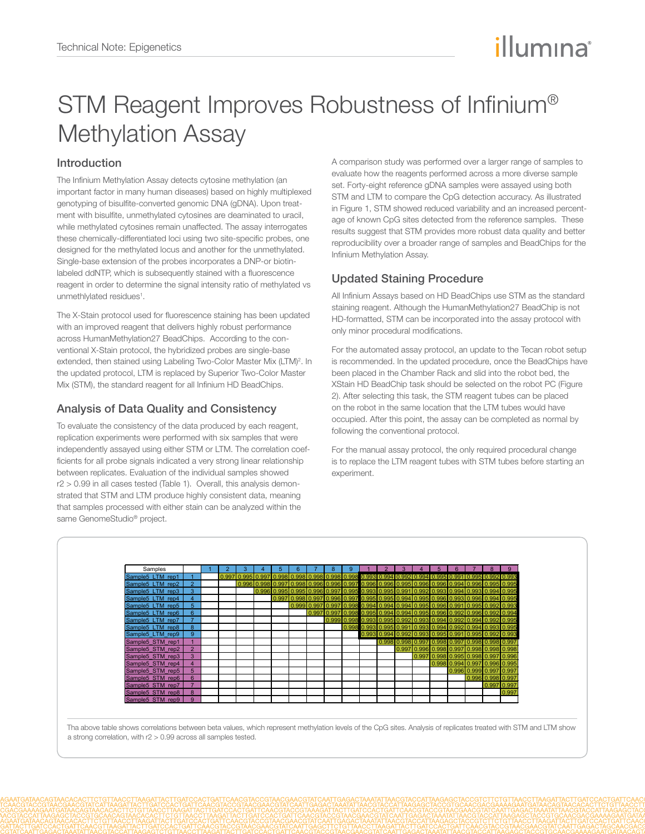# illumına

## STM Reagent Improves Robustness of Infinium® Methylation Assay

### Introduction

I

The Infinium Methylation Assay detects cytosine methylation (an important factor in many human diseases) based on highly multiplexed genotyping of bisulfite-converted genomic DNA (gDNA). Upon treatment with bisulfite, unmethylated cytosines are deaminated to uracil, while methylated cytosines remain unaffected. The assay interrogates these chemically-differentiated loci using two site-specific probes, one designed for the methylated locus and another for the unmethylated. Single-base extension of the probes incorporates a DNP-or biotinlabeled ddNTP, which is subsequently stained with a fluorescence reagent in order to determine the signal intensity ratio of methylated vs unmethlylated residues<sup>1</sup>.

The X-Stain protocol used for fluorescence staining has been updated with an improved reagent that delivers highly robust performance across HumanMethylation27 BeadChips. According to the conventional X-Stain protocol, the hybridized probes are single-base extended, then stained using Labeling Two-Color Master Mix (LTM)<sup>2</sup>. In the updated protocol, LTM is replaced by Superior Two-Color Master Mix (STM), the standard reagent for all Infinium HD BeadChips.

#### Analysis of Data Quality and Consistency

To evaluate the consistency of the data produced by each reagent, replication experiments were performed with six samples that were independently assayed using either STM or LTM. The correlation coefficients for all probe signals indicated a very strong linear relationship between replicates. Evaluation of the individual samples showed r2 > 0.99 in all cases tested (Table 1). Overall, this analysis demonstrated that STM and LTM produce highly consistent data, meaning that samples processed with either stain can be analyzed within the same GenomeStudio® project.

A comparison study was performed over a larger range of samples to evaluate how the reagents performed across a more diverse sample set. Forty-eight reference gDNA samples were assayed using both STM and LTM to compare the CpG detection accuracy. As illustrated in Figure 1, STM showed reduced variability and an increased percentage of known CpG sites detected from the reference samples. These results suggest that STM provides more robust data quality and better reproducibility over a broader range of samples and BeadChips for the Infinium Methylation Assay.

#### Updated Staining Procedure

All Infinium Assays based on HD BeadChips use STM as the standard staining reagent. Although the HumanMethylation27 BeadChip is not HD-formatted, STM can be incorporated into the assay protocol with only minor procedural modifications.

For the automated assay protocol, an update to the Tecan robot setup is recommended. In the updated procedure, once the BeadChips have been placed in the Chamber Rack and slid into the robot bed, the XStain HD BeadChip task should be selected on the robot PC (Figure 2). After selecting this task, the STM reagent tubes can be placed on the robot in the same location that the LTM tubes would have occupied. After this point, the assay can be completed as normal by following the conventional protocol.

For the manual assay protocol, the only required procedural change is to replace the LTM reagent tubes with STM tubes before starting an experiment.



Tha above table shows correlations between beta values, which represent methylation levels of the CpG sites. Analysis of replicates treated with STM and LTM show a strong correlation, with r2 > 0.99 across all samples tested.